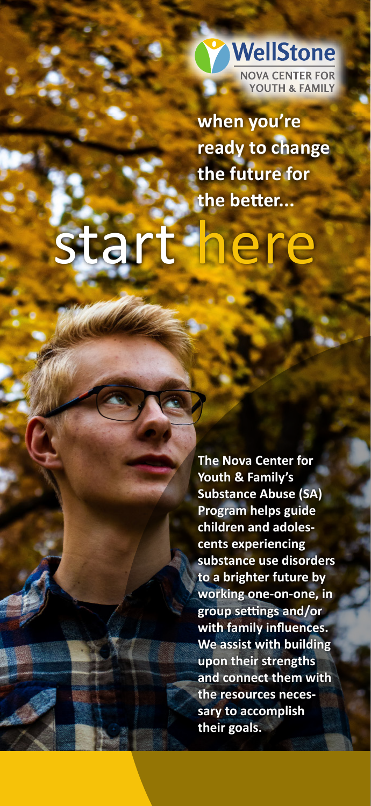

**when you're ready to change the future for the better...**

# ere

**The Nova Center for Youth & Family's Substance Abuse (SA) Program helps guide children and adolescents experiencing substance use disorders to a brighter future by working one-on-one, in group settings and/or with family influences. We assist with building upon their strengths and connect them with the resources necessary to accomplish their goals.**